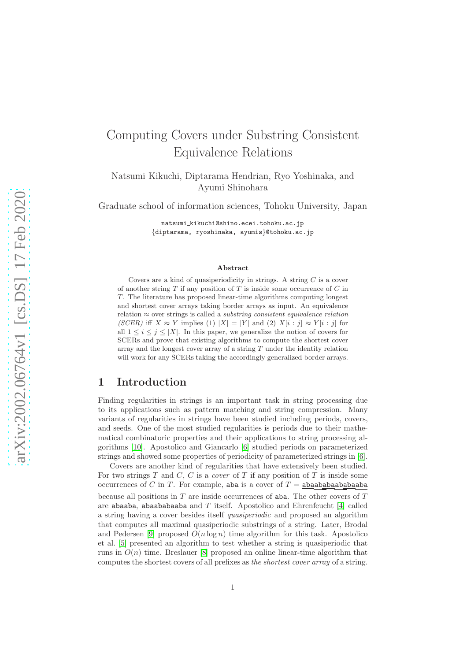# Computing Covers under Substring Consistent Equivalence Relations

Natsumi Kikuchi, Diptarama Hendrian, Ryo Yoshinaka, and Ayumi Shinohara

Graduate school of information sciences, Tohoku University, Japan

natsumi kikuchi@shino.ecei.tohoku.ac.jp {diptarama, ryoshinaka, ayumis}@tohoku.ac.jp

#### Abstract

Covers are a kind of quasiperiodicity in strings. A string  $C$  is a cover of another string  $T$  if any position of  $T$  is inside some occurrence of  $C$  in  $T$ . The literature has proposed linear-time algorithms computing longest and shortest cover arrays taking border arrays as input. An equivalence relation  $\approx$  over strings is called a *substring consistent equivalence relation* (SCER) iff  $X \approx Y$  implies (1)  $|X| = |Y|$  and (2)  $X[i : j] \approx Y[i : j]$  for all  $1 \leq i \leq j \leq |X|$ . In this paper, we generalize the notion of covers for SCERs and prove that existing algorithms to compute the shortest cover array and the longest cover array of a string  $T$  under the identity relation will work for any SCERs taking the accordingly generalized border arrays.

### 1 Introduction

Finding regularities in strings is an important task in string processing due to its applications such as pattern matching and string compression. Many variants of regularities in strings have been studied including periods, covers, and seeds. One of the most studied regularities is periods due to their mathematical combinatoric properties and their applications to string processing algorithms [\[10\]](#page-12-0). Apostolico and Giancarlo [\[6\]](#page-12-1) studied periods on parameterized strings and showed some properties of periodicity of parameterized strings in [\[6\]](#page-12-1).

Covers are another kind of regularities that have extensively been studied. For two strings  $T$  and  $C$ ,  $C$  is a *cover* of  $T$  if any position of  $T$  is inside some occurrences of C in T. For example, aba is a cover of  $T = \underline{abaababaababaabab}$ because all positions in  $T$  are inside occurrences of aba. The other covers of  $T$ are abaaba, abaababaaba and  $T$  itself. Apostolico and Ehrenfeucht [\[4\]](#page-11-0) called a string having a cover besides itself quasiperiodic and proposed an algorithm that computes all maximal quasiperiodic substrings of a string. Later, Brodal and Pedersen [\[9\]](#page-12-2) proposed  $O(n \log n)$  time algorithm for this task. Apostolico et al. [\[5\]](#page-12-3) presented an algorithm to test whether a string is quasiperiodic that runs in  $O(n)$  time. Breslauer [\[8\]](#page-12-4) proposed an online linear-time algorithm that computes the shortest covers of all prefixes as the shortest cover array of a string.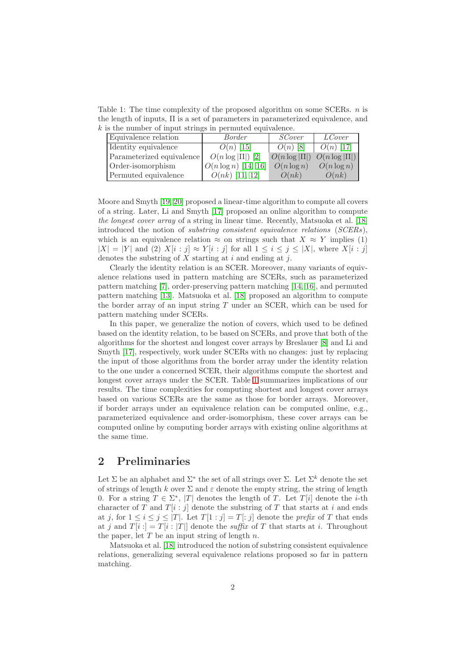Table 1: The time complexity of the proposed algorithm on some SCERs.  $n$  is the length of inputs, Π is a set of parameters in parameterized equivalence, and  $k$  is the number of input strings in permuted equivalence.

<span id="page-1-0"></span>

| Equivalence relation      | Border                 | <i>SCover</i>     | <i>LCover</i>        |  |  |  |  |  |  |  |  |
|---------------------------|------------------------|-------------------|----------------------|--|--|--|--|--|--|--|--|
| Identity equivalence      | $O(n)$ [15]            | $O(n)$ [8]        | $O(n)$ [17]          |  |  |  |  |  |  |  |  |
| Parameterized equivalence | $O(n \log  \Pi )$ [2]  | $O(n \log  \Pi )$ | $ O(n \log  \Pi )$   |  |  |  |  |  |  |  |  |
| Order-isomorphism         | $O(n \log n)$ [14, 16] | $O(n \log n)$     | $\bigcirc(n \log n)$ |  |  |  |  |  |  |  |  |
| Permuted equivalence      | $O(nk)$ [11, 12]       | O(nk)             | O(nk)                |  |  |  |  |  |  |  |  |

Moore and Smyth [\[19,](#page-13-0) [20\]](#page-13-1) proposed a linear-time algorithm to compute all covers of a string. Later, Li and Smyth [\[17\]](#page-12-6) proposed an online algorithm to compute the longest cover array of a string in linear time. Recently, Matsuoka et al. [\[18\]](#page-12-11) introduced the notion of substring consistent equivalence relations (SCERs), which is an equivalence relation  $\approx$  on strings such that  $X \approx Y$  implies (1)  $|X| = |Y|$  and (2)  $X[i : j] \approx Y[i : j]$  for all  $1 \leq i \leq j \leq |X|$ , where  $X[i : j]$ denotes the substring of  $X$  starting at  $i$  and ending at  $j$ .

Clearly the identity relation is an SCER. Moreover, many variants of equivalence relations used in pattern matching are SCERs, such as parameterized pattern matching [\[7\]](#page-12-12), order-preserving pattern matching [\[14,](#page-12-7) [16\]](#page-12-8), and permuted pattern matching [\[13\]](#page-12-13). Matsuoka et al. [\[18\]](#page-12-11) proposed an algorithm to compute the border array of an input string  $T$  under an SCER, which can be used for pattern matching under SCERs.

In this paper, we generalize the notion of covers, which used to be defined based on the identity relation, to be based on SCERs, and prove that both of the algorithms for the shortest and longest cover arrays by Breslauer [\[8\]](#page-12-4) and Li and Smyth [\[17\]](#page-12-6), respectively, work under SCERs with no changes: just by replacing the input of those algorithms from the border array under the identity relation to the one under a concerned SCER, their algorithms compute the shortest and longest cover arrays under the SCER. Table [1](#page-1-0) summarizes implications of our results. The time complexities for computing shortest and longest cover arrays based on various SCERs are the same as those for border arrays. Moreover, if border arrays under an equivalence relation can be computed online, e.g., parameterized equivalence and order-isomorphism, these cover arrays can be computed online by computing border arrays with existing online algorithms at the same time.

### 2 Preliminaries

Let  $\Sigma$  be an alphabet and  $\Sigma^*$  the set of all strings over  $\Sigma$ . Let  $\Sigma^k$  denote the set of strings of length k over  $\Sigma$  and  $\varepsilon$  denote the empty string, the string of length 0. For a string  $T \in \Sigma^*$ , |T| denotes the length of T. Let  $T[i]$  denote the *i*-th character of T and  $T[i:j]$  denote the substring of T that starts at i and ends at j, for  $1 \leq i \leq j \leq |T|$ . Let  $T[1:j] = T[i]$  denote the prefix of T that ends at j and  $T[i:] = T[i:]$  denote the suffix of T that starts at i. Throughout the paper, let  $T$  be an input string of length  $n$ .

<span id="page-1-1"></span>Matsuoka et al. [\[18\]](#page-12-11) introduced the notion of substring consistent equivalence relations, generalizing several equivalence relations proposed so far in pattern matching.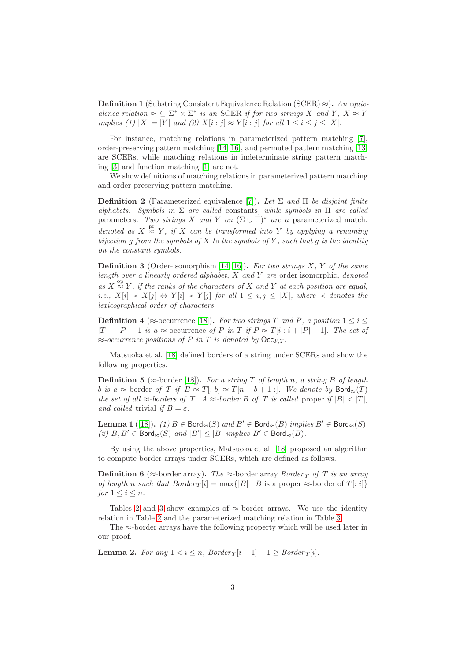**Definition 1** (Substring Consistent Equivalence Relation (SCER)  $\approx$ ). An equivalence relation  $\approx \subseteq \Sigma^* \times \Sigma^*$  is an SCER if for two strings X and Y,  $X \approx Y$ implies (1)  $|X| = |Y|$  and (2)  $X[i : j] \approx Y[i : j]$  for all  $1 \le i \le j \le |X|$ .

For instance, matching relations in parameterized pattern matching [\[7\]](#page-12-12), order-preserving pattern matching [\[14,](#page-12-7) [16\]](#page-12-8), and permuted pattern matching [\[13\]](#page-12-13) are SCERs, while matching relations in indeterminate string pattern matching [\[3\]](#page-11-2) and function matching [\[1\]](#page-11-3) are not.

We show definitions of matching relations in parameterized pattern matching and order-preserving pattern matching.

**Definition 2** (Parameterized equivalence [\[7\]](#page-12-12)). Let  $\Sigma$  and  $\Pi$  be disjoint finite alphabets. Symbols in  $\Sigma$  are called constants, while symbols in  $\Pi$  are called parameters. Two strings X and Y on  $(\Sigma \cup \Pi)^*$  are a parameterized match, denoted as  $X \stackrel{\text{pr}}{\approx} Y$ , if X can be transformed into Y by applying a renaming bijection g from the symbols of  $X$  to the symbols of  $Y$ , such that  $g$  is the identity on the constant symbols.

<span id="page-2-2"></span>**Definition 3** (Order-isomorphism [\[14,](#page-12-7) [16\]](#page-12-8)). For two strings  $X$ ,  $Y$  of the same length over a linearly ordered alphabet,  $X$  and  $Y$  are order isomorphic, denoted as  $X \stackrel{\text{op}}{\approx} Y$ , if the ranks of the characters of X and Y at each position are equal, i.e.,  $X[i] \prec X[j] \Leftrightarrow Y[i] \prec Y[j]$  for all  $1 \leq i, j \leq |X|$ , where  $\prec$  denotes the lexicographical order of characters.

**Definition 4** ( $\approx$ -occurrence [\[18\]](#page-12-11)). For two strings T and P, a position  $1 \leq i \leq$  $|T| - |P| + 1$  is a ≈-occurrence of P in T if  $P \approx T[i : i + |P| - 1]$ . The set of  $\approx$ -occurrence positions of P in T is denoted by Occ<sub>PT</sub>.

<span id="page-2-0"></span>Matsuoka et al. [\[18\]](#page-12-11) defined borders of a string under SCERs and show the following properties.

**Definition 5** ( $\approx$ -border [\[18\]](#page-12-11)). For a string T of length n, a string B of length b is a ≈-border of T if  $B \approx T[:b] \approx T[n-b+1:]$ . We denote by Bord $\approx(T)$ the set of all  $\approx$ -borders of T. A  $\approx$ -border B of T is called proper if  $|B| < |T|$ , and called trivial if  $B = \varepsilon$ .

<span id="page-2-1"></span>Lemma 1 ([\[18\]](#page-12-11)). (1)  $B \in \text{Bord}_{\approx}(S)$  and  $B' \in \text{Bord}_{\approx}(B)$  implies  $B' \in \text{Bord}_{\approx}(S)$ . (2)  $B, B' \in \text{Bord}_{\approx}(S)$  and  $|B'| \leq |B|$  implies  $B' \in \text{Bord}_{\approx}(B)$ .

By using the above properties, Matsuoka et al. [\[18\]](#page-12-11) proposed an algorithm to compute border arrays under SCERs, which are defined as follows.

**Definition 6** ( $\approx$ -border array). The  $\approx$ -border array Border T of T is an array of length n such that  $Border_T[i] = \max\{|B| | B$  is a proper  $\approx$ -border of  $T[:i]$ } for  $1 \leq i \leq n$ .

Tables [2](#page-3-0) and [3](#page-3-1) show examples of  $\approx$ -border arrays. We use the identity relation in Table [2](#page-3-0) and the parameterized matching relation in Table [3.](#page-3-1)

<span id="page-2-3"></span>The ≈-border arrays have the following property which will be used later in our proof.

**Lemma 2.** For any  $1 < i \leq n$ , Border  $T[i-1] + 1 \geq B$ order  $T[i]$ .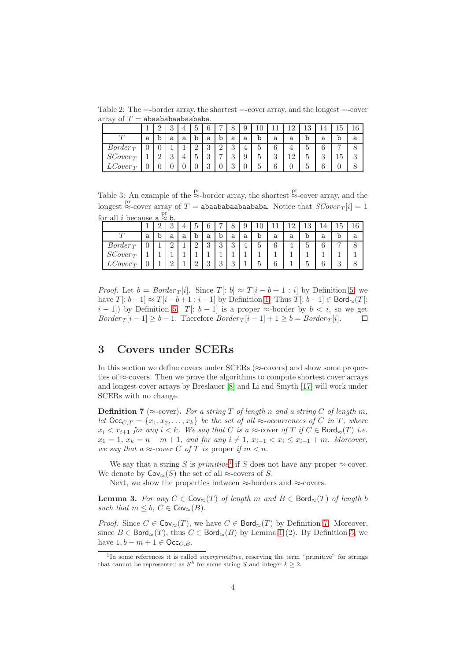Table 2: The  $=$ -border array, the shortest  $=$ -cover array, and the longest  $=$ -cover array of  $T =$  abaababaabababa.

<span id="page-3-0"></span>

|            |   |          | $\ddot{\bullet}$<br>◡ |   |                 | c              |               |                | ره |   |               | $\epsilon$<br>∸ | ⊥∪      |                |                | 16             |
|------------|---|----------|-----------------------|---|-----------------|----------------|---------------|----------------|----|---|---------------|-----------------|---------|----------------|----------------|----------------|
|            | a | b        | а                     | a | b               | a              | b             | а              | a  |   | а             | а               | b       | a              | b              | а              |
| $Border_T$ |   |          |                       |   | $\epsilon$<br>≃ | ച<br>◡         | $\Omega$<br>↵ | $\Omega$<br>U  |    |   | ⌒             |                 | ↩       |                | $\overline{ }$ | O              |
| $SCover_T$ |   | $\Omega$ | $\Omega$<br>∪         |   |                 | $\Omega$<br>IJ | −             | $\Omega$<br>IJ | J  | ↩ | $\Omega$<br>υ | 12              | ۔<br>IJ | $\Omega$<br>IJ | Б<br>ŦΘ        | $\Omega$<br>J. |
| $Cover_T$  |   |          | U                     |   |                 | $\Omega$<br>ಀ  |               |                |    |   | ⌒             |                 | U       |                |                | 0              |

<span id="page-3-1"></span>Table 3: An example of the  $\stackrel{\text{pr}}{\approx}$ -border array, the shortest  $\stackrel{\text{pr}}{\approx}$ -cover array, and the longest  $\stackrel{\text{pr}}{\approx}$ -cover array of  $T =$  abaababaabaababa. Notice that  $SCover_T[i] = 1$ for all *i* because  $a \stackrel{\text{pr}}{\approx} b$ .

|                           |   | ິ<br>υ |   |               |                | ∽             |                |   |   |   | 16) | U   |            |          | 16     |
|---------------------------|---|--------|---|---------------|----------------|---------------|----------------|---|---|---|-----|-----|------------|----------|--------|
|                           | a | а      | а |               | а              | O             | а              | a | b | a | a   |     | а          |          | а      |
| $Border_T$                |   | ∩<br>↵ |   | $\Omega$<br>↵ | $\Omega$<br>IJ | $\Omega$<br>ಀ | $\Omega$<br>., |   |   | 0 |     | е 1 |            | −        | Ω<br>O |
| $SCover_T$                |   |        |   |               |                |               |                |   |   |   |     |     |            |          |        |
| $\tau_{\text{cover}_{T}}$ |   |        |   | $\Omega$      | $\Omega$<br>IJ | $\Omega$<br>ಀ | $\Omega$       |   |   |   |     |     | $\sqrt{2}$ | $\Omega$ |        |

*Proof.* Let  $b = Border_T[i]$ . Since  $T[: b] \approx T[i - b + 1 : i]$  by Definition [5,](#page-2-0) we have  $T[: b - 1] \approx T[i - b + 1 : i - 1]$  by Definition [1.](#page-1-1) Thus  $T[: b - 1] \in \mathsf{Bord}_{\approx}(T[$ :  $(i-1]$ ) by Definition [5.](#page-2-0)  $T[: b-1]$  is a proper ≈-border by  $b < i$ , so we get  $Border_T[i-1] \geq b-1$ . Therefore  $Border_T[i-1] + 1 \geq b = Border_T[i]$ .  $\Box$ 

## 3 Covers under SCERs

In this section we define covers under  $SCERs$  ( $\approx$ -covers) and show some properties of ≈-covers. Then we prove the algorithms to compute shortest cover arrays and longest cover arrays by Breslauer [\[8\]](#page-12-4) and Li and Smyth [\[17\]](#page-12-6) will work under SCERs with no change.

<span id="page-3-3"></span>**Definition 7** ( $\approx$ -cover). For a string T of length n and a string C of length m, let  $\text{Occ}_{C,T} = \{x_1, x_2, \ldots, x_k\}$  be the set of all  $\approx$ -occurrences of C in T, where  $x_i < x_{i+1}$  for any  $i < k$ . We say that C is a  $\approx$ -cover of T if  $C \in \text{Bord}_{\approx}(T)$  i.e.  $x_1 = 1, x_k = n - m + 1$ , and for any  $i \neq 1, x_{i-1} < x_i \leq x_{i-1} + m$ . Moreover, we say that a  $\approx$ -cover C of T is proper if  $m < n$ .

We say that a string S is primitive<sup>[1](#page-3-2)</sup> if S does not have any proper  $\approx$ -cover. We denote by  $\text{Cov}_{\approx}(S)$  the set of all ≈-covers of S.

<span id="page-3-4"></span>Next, we show the properties between  $\approx$ -borders and  $\approx$ -covers.

Lemma 3. For any  $C \in Cov_{\approx}(T)$  of length m and  $B \in \text{Bord}_{\approx}(T)$  of length b such that  $m \leq b$ ,  $C \in \text{Cov}_{\approx}(B)$ .

*Proof.* Since  $C \in \mathsf{Cov}_{\approx}(T)$ , we have  $C \in \mathsf{Bord}_{\approx}(T)$  by Definition [7.](#page-3-3) Moreover, since  $B \in \text{Bord}_{\approx}(T)$ , thus  $C \in \text{Bord}_{\approx}(B)$  by Lemma [1](#page-2-1) (2). By Definition [5,](#page-2-0) we have  $1, b - m + 1 \in \mathsf{Occ}_{CB}$ .

<span id="page-3-2"></span><sup>&</sup>lt;sup>1</sup>In some references it is called *superprimitive*, reserving the term "primitive" for strings that cannot be represented as  $S^k$  for some string S and integer  $k \geq 2$ .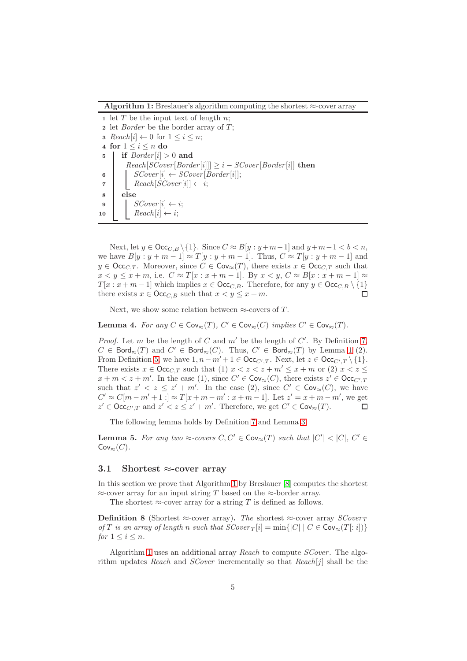<span id="page-4-0"></span>Algorithm 1: Breslauer's algorithm computing the shortest  $\approx$ -cover array

1 let T be the input text of length  $n$ ; 2 let *Border* be the border array of  $T$ ; 3  $Reach[i] \leftarrow 0$  for  $1 \leq i \leq n$ ; 4 for  $1 \leq i \leq n$  do 5 if  $Border[i] > 0$  and  $Reach[SCover[Border[i]]] \geq i - SCover[Border[i]]$  then 6 |  $SCover[i] \leftarrow SCover[Border[i];$ 7 |  $Reach[SCover[i]] \leftarrow i;$ 8 else 9 |  $SCover[i] \leftarrow i;$ 10 Reach $[i] \leftarrow i$ ;

Next, let  $y \in \text{Occ}_{C,B} \setminus \{1\}$ . Since  $C \approx B[y : y + m-1]$  and  $y + m-1 < b < n$ , we have  $B[y : y + m - 1] \approx T[y : y + m - 1]$ . Thus,  $C \approx T[y : y + m - 1]$  and  $y \in \text{Occ}_{C,T}$ . Moreover, since  $C \in \text{Cov}_{\approx}(T)$ , there exists  $x \in \text{Occ}_{C,T}$  such that  $x < y \leq x + m$ , i.e.  $C \approx T[x : x + m - 1]$ . By  $x < y$ ,  $C \approx B[x : x + m - 1] \approx$  $T[x : x + m - 1]$  which implies  $x \in \text{Occ}_{C,B}$ . Therefore, for any  $y \in \text{Occ}_{C,B} \setminus \{1\}$ there exists  $x \in \text{Occ}_{C,B}$  such that  $x < y \leq x + m$ . П

<span id="page-4-2"></span>Next, we show some relation between  $\approx$ -covers of T.

**Lemma 4.** For any  $C \in \text{Cov}_{\approx}(T)$ ,  $C' \in \text{Cov}_{\approx}(C)$  implies  $C' \in \text{Cov}_{\approx}(T)$ .

*Proof.* Let m be the length of  $C$  and  $m'$  be the length of  $C'$ . By Definition [7,](#page-3-3)  $C \in \text{Bord}_{\approx}(T)$  and  $C' \in \text{Bord}_{\approx}(C)$ . Thus,  $C' \in \text{Bord}_{\approx}(T)$  by Lemma [1](#page-2-1) (2). From Definition [5,](#page-2-0) we have  $1, n - m' + 1 \in \text{Occ}_{C',T}$ . Next, let  $z \in \text{Occ}_{C',T} \setminus \{1\}$ . There exists  $x \in \text{Occ}_{C,T}$  such that (1)  $x < z < z + m' \leq x + m$  or (2)  $x < z \leq$  $x + m < z + m'$ . In the case (1), since  $C' \in \text{Cov}_{\approx}(C)$ , there exists  $z' \in \text{Occ}_{C',T}$ such that  $z' < z \leq z' + m'$ . In the case (2), since  $C' \in \mathsf{Cov}_{\approx}(C)$ , we have  $C' \approx C[m - m' + 1] \approx T[x + m - m' : x + m - 1]$ . Let  $z' = x + m - m'$ , we get  $z' \in \text{Occ}_{C',T}$  and  $z' < z \leq z' + m'$ . Therefore, we get  $C' \in \text{Cov}_{\approx}(T)$ .  $\Box$ 

<span id="page-4-1"></span>The following lemma holds by Definition [7](#page-3-3) and Lemma [3.](#page-3-4)

**Lemma 5.** For any two  $\approx$ -covers  $C, C' \in \text{Cov}_{\approx}(T)$  such that  $|C'| < |C|, C' \in$  $Cov_{\approx}(C)$ .

#### 3.1 Shortest  $\approx$ -cover array

In this section we prove that Algorithm [1](#page-4-0) by Breslauer [\[8\]](#page-12-4) computes the shortest  $\approx$ -cover array for an input string T based on the  $\approx$ -border array.

The shortest  $\approx$ -cover array for a string T is defined as follows.

**Definition 8** (Shortest ≈-cover array). The shortest ≈-cover array  $SCover_T$ of T is an array of length n such that  $SCover_T[i] = \min\{|C| \mid C \in \text{Cov}_{\approx}(T[:i])\}$ for  $1 \leq i \leq n$ .

Algorithm [1](#page-4-0) uses an additional array Reach to compute SCover. The algorithm updates Reach and SCover incrementally so that  $Reach[j]$  shall be the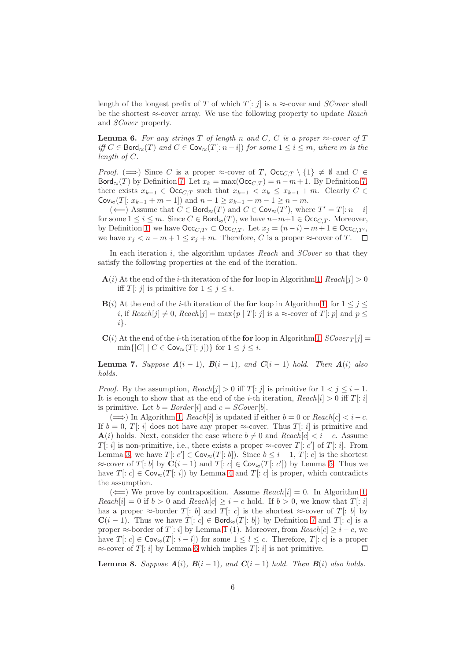length of the longest prefix of T of which  $T[:j]$  is a  $\approx$ -cover and *SCover* shall be the shortest  $\approx$ -cover array. We use the following property to update Reach and SCover properly.

<span id="page-5-0"></span>**Lemma 6.** For any strings T of length n and C, C is a proper  $\approx$ -cover of T iff  $C \in \text{Bord}_{\approx}(T)$  and  $C \in \text{Cov}_{\approx}(T[:n-i])$  for some  $1 \leq i \leq m$ , where m is the length of C.

*Proof.*  $(\implies)$  Since C is a proper ≈-cover of T,  $\text{Occ}_{C,T} \setminus \{1\} \neq \emptyset$  and  $C \in$ Bord≈(T) by Definition [7.](#page-3-3) Let  $x_k = \max(\text{Occ}_{C,T}) = n - m + 1$ . By Definition [7,](#page-3-3) there exists  $x_{k-1} \in \text{Occ}_{C,T}$  such that  $x_{k-1} < x_k \leq x_{k-1} + m$ . Clearly  $C \in$  $\text{Cov}_{\approx}(T[:x_{k-1}+m-1])$  and  $n-1 \geq x_{k-1}+m-1 \geq n-m$ .

( $\Longleftarrow$ ) Assume that  $C \in \text{Bord}_{\approx}(T)$  and  $C \in \text{Cov}_{\approx}(T')$ , where  $T' = T[: n - i]$ for some  $1 \le i \le m$ . Since  $C \in \text{Bord}_{\approx}(T)$ , we have  $n-m+1 \in \text{Occ}_{C,T}$ . Moreover, by Definition [1,](#page-1-1) we have  $\mathsf{Occ}_{C,T'} \subset \mathsf{Occ}_{C,T}$ . Let  $x_j = (n-i) - m + 1 \in \mathsf{Occ}_{C,T'}$ , we have  $x_i < n - m + 1 \le x_i + m$ . Therefore, C is a proper  $\approx$ -cover of T.  $\Box$ 

In each iteration i, the algorithm updates Reach and SCover so that they satisfy the following properties at the end of the iteration.

- $\mathbf{A}(i)$  At the end of the *i*-th iteration of the **for** loop in Algorithm [1,](#page-4-0) Reach[j] > 0 iff  $T[:j]$  is primitive for  $1 \leq j \leq i$ .
- $\mathbf{B}(i)$  At the end of the *i*-th iteration of the for loop in Algorithm [1,](#page-4-0) for  $1 \leq j \leq$ i, if  $Reach[j] \neq 0$ ,  $Reach[j] = \max\{p | T[:j] \text{ is a } \approx \text{cover of } T[:p] \text{ and } p \leq \text{const.}$ i}.
- $\mathbf{C}(i)$  At the end of the *i*-th iteration of the for loop in Algorithm [1,](#page-4-0)  $SCover_T[j] =$  $\min\{|C| \mid C \in \text{Cov}_{\approx}(T[:j])\}$  for  $1 \leq j \leq i$ .

<span id="page-5-1"></span>**Lemma 7.** Suppose  $A(i - 1)$ ,  $B(i - 1)$ , and  $C(i - 1)$  hold. Then  $A(i)$  also holds.

*Proof.* By the assumption,  $Reach[j] > 0$  iff  $T[:j]$  is primitive for  $1 < j \leq i - 1$ . It is enough to show that at the end of the *i*-th iteration,  $Reach[i] > 0$  iff  $T[:i]$ is primitive. Let  $b = Border[i]$  and  $c = SCover[b]$ .

 $(\Longrightarrow)$  In Algorithm [1,](#page-4-0) Reach[i] is updated if either  $b = 0$  or Reach[c]  $\lt i - c$ . If  $b = 0$ , T[: i] does not have any proper ≈-cover. Thus T[: i] is primitive and  $\mathbf{A}(i)$  holds. Next, consider the case where  $b \neq 0$  and  $Reach[c] < i - c$ . Assume  $T[:i]$  is non-primitive, i.e., there exists a proper  $\approx$ -cover  $T[:c']$  of  $T[:i]$ . From Lemma [3,](#page-3-4) we have  $T[:c'] \in \text{Cov}_{\approx}(T[:b])$ . Since  $b \leq i-1$ ,  $T[:c]$  is the shortest ≈-cover of T[: b] by  $\mathbf{C}(i-1)$  and  $T[:c] \in \mathsf{Cov}_\approx(T[:c'])$  by Lemma [5.](#page-4-1) Thus we have  $T[:c] \in \text{Cov}_{\approx}(T[:i])$  by Lemma [4](#page-4-2) and  $T[:c]$  is proper, which contradicts the assumption.

( $\Longleftarrow$ ) We prove by contraposition. Assume  $Reach[i] = 0$ . In Algorithm [1,](#page-4-0)  $Reach[i] = 0$  if  $b > 0$  and  $Reach[c] \geq i - c$  hold. If  $b > 0$ , we know that  $T[:i]$ has a proper  $\approx$ -border T[: b] and T[: c] is the shortest  $\approx$ -cover of T[: b] by  $C(i-1)$ . Thus we have  $T[:c] \in \text{Bord}_{\approx}(T[:b])$  by Definition [7](#page-3-3) and  $T[:c]$  is a proper  $\approx$ -border of T[: i] by Lemma [1](#page-2-1) (1). Moreover, from  $Reach[c] \geq i - c$ , we have  $T[:c] \in \mathsf{Cov}_{\approx}(T[:i-l])$  for some  $1 \leq l \leq c$ . Therefore,  $T[:c]$  is a proper  $\approx$ -cover of T: i] by Lemma [6](#page-5-0) which implies T: i] is not primitive. П

<span id="page-5-2"></span>**Lemma 8.** Suppose  $A(i)$ ,  $B(i-1)$ , and  $C(i-1)$  hold. Then  $B(i)$  also holds.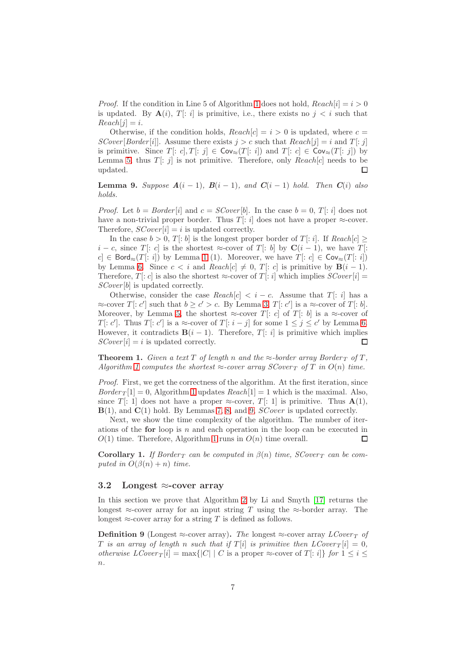*Proof.* If the condition in Line 5 of Algorithm [1](#page-4-0) does not hold,  $Reach[i] = i > 0$ is updated. By  $A(i)$ ,  $T[:i]$  is primitive, i.e., there exists no  $j < i$  such that  $Reach[j] = i.$ 

Otherwise, if the condition holds,  $Reach[c] = i > 0$  is updated, where  $c =$ SCover [Border [i]]. Assume there exists  $j > c$  such that  $Reach[j] = i$  and  $T[:j]$ is primitive. Since  $T[:c], T[:j] \in \text{Cov}_{\approx}(T[:i])$  and  $T[:c] \in \text{Cov}_{\approx}(T[:j])$  by Lemma [5,](#page-4-1) thus  $T[:j]$  is not primitive. Therefore, only Reach[c] needs to be updated.  $\Box$ 

<span id="page-6-0"></span>**Lemma 9.** Suppose  $A(i - 1)$ ,  $B(i - 1)$ , and  $C(i - 1)$  hold. Then  $C(i)$  also holds.

*Proof.* Let  $b = Border[i]$  and  $c = SCover[b]$ . In the case  $b = 0, T[:i]$  does not have a non-trivial proper border. Thus T[: i] does not have a proper  $\approx$ -cover. Therefore,  $SCover[i] = i$  is updated correctly.

In the case  $b > 0$ ,  $T[:b]$  is the longest proper border of  $T[:i]$ . If  $Reach[c] \geq$  $i - c$ , since T[: c] is the shortest ≈-cover of T[: b] by  $\mathbf{C}(i - 1)$ , we have T[:  $c \in \text{Bord}_{\approx}(T[:i])$  by Lemma [1](#page-2-1) (1). Moreover, we have  $T[:c] \in \text{Cov}_{\approx}(T[:i])$ by Lemma [6.](#page-5-0) Since  $c < i$  and  $Reach[c] \neq 0, T[:c]$  is primitive by  $B(i - 1)$ . Therefore, T[: c] is also the shortest  $\approx$ -cover of T[: i] which implies  $SCover[i]$  = SCover[b] is updated correctly.

Otherwise, consider the case  $Reach[c] < i - c$ . Assume that  $T[i]$  has a  $\approx$ -cover  $T[:c']$  such that  $b \geq c' > c$ . By Lemma [3,](#page-3-4)  $T[:c']$  is a  $\approx$ -cover of  $T[:b]$ . Moreover, by Lemma [5,](#page-4-1) the shortest ≈-cover T: c of T: b is a ≈-cover of T[: c']. Thus T[: c'] is a  $\approx$ -cover of T[: i - j] for some  $1 \leq j \leq c'$  by Lemma [6.](#page-5-0) However, it contradicts  $\mathbf{B}(i-1)$ . Therefore,  $T[i]$  is primitive which implies  $SCover[i] = i$  is updated correctly.  $\Box$ 

**Theorem 1.** Given a text T of length n and the  $\approx$ -border array Border  $_T$  of T, Algorithm [1](#page-4-0) computes the shortest  $\approx$ -cover array  $SCover_T$  of T in  $O(n)$  time.

Proof. First, we get the correctness of the algorithm. At the first iteration, since  $Border_T[1] = 0$ , Algorithm [1](#page-4-0) updates  $Reach[1] = 1$  which is the maximal. Also, since T: 1 does not have a proper  $\approx$ -cover, T: 1 is primitive. Thus  $A(1)$ ,  $B(1)$ , and  $C(1)$  hold. By Lemmas [7,](#page-5-1) [8,](#page-5-2) and [9,](#page-6-0) *SCover* is updated correctly.

Next, we show the time complexity of the algorithm. The number of iterations of the **for** loop is n and each operation in the loop can be executed in  $O(1)$  time. Therefore, Algorithm [1](#page-4-0) runs in  $O(n)$  time overall.  $\Box$ 

**Corollary 1.** If Border  $T$  can be computed in  $\beta(n)$  time,  $SCover_T$  can be computed in  $O(\beta(n) + n)$  time.

#### 3.2 Longest  $\approx$ -cover array

In this section we prove that Algorithm [2](#page-7-0) by Li and Smyth [\[17\]](#page-12-6) returns the longest  $\approx$ -cover array for an input string T using the  $\approx$ -border array. The longest  $\approx$ -cover array for a string T is defined as follows.

<span id="page-6-1"></span>**Definition 9** (Longest ≈-cover array). The longest ≈-cover array  $LCover_T$  of T is an array of length n such that if  $T[i]$  is primitive then  $LCover_T[i] = 0$ , otherwise  $LCover_T[i] = \max\{|C| | C$  is a proper ≈-cover of  $T[:i]$  for  $1 \le i \le n$  $n$ .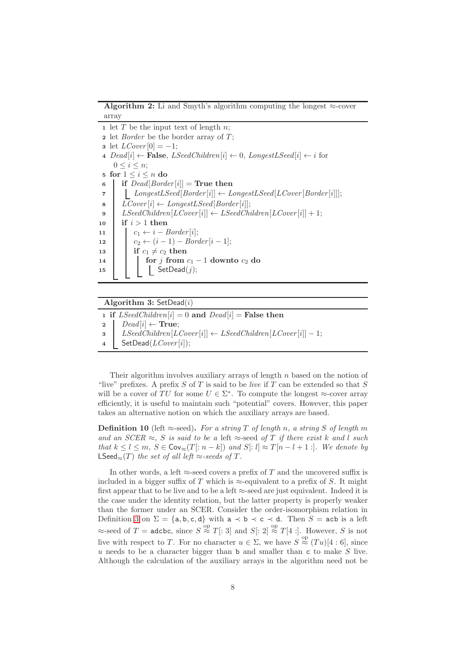Algorithm 2: Li and Smyth's algorithm computing the longest  $\approx$ -cover array

<span id="page-7-0"></span>1 let  $T$  be the input text of length  $n$ ;

2 let *Border* be the border array of  $T$ ; **3** let  $LCover[0] = -1$ ; 4  $Dead[i] \leftarrow$  **False**,  $LSeedChildren[i] \leftarrow 0$ ,  $LongestLSeed[i] \leftarrow i$  for  $0 \leq i \leq n$ ; 5 for  $1 \leq i \leq n$  do 6 if  $Dead[Border[i]] = True$  then 7 | LongestLSeed[Border[i]]  $\leftarrow$  LongestLSeed[LCover[Border[i]]]; 8  $LCover[i] \leftarrow LongestLSeed[Border[i]];$ 9 | LSeedChildren $[LCover[i]] \leftarrow LSeedChildren[LCover[i]] + 1;$ 10 if  $i > 1$  then 11  $c_1 \leftarrow i - Border[i];$ 12  $c_2 \leftarrow (i-1) - Border[i-1];$ 13 if  $c_1 \neq c_2$  then 14 **for** j from  $c_1 - 1$  downto  $c_2$  do  $\begin{array}{|c|c|c|c|c|}\n\hline\n\text{15} & & \text{} & \text{SetDead}(j); \n\end{array}$ 

#### <span id="page-7-2"></span>Algorithm 3:  $SetDead(i)$

1 if  $LSeedChildren[i] = 0$  and  $Dead[i] =$  False then 2 Dead[i]  $\leftarrow$  True;  $\textbf{s}$  | LSeedChildren[LCover[i]]  $\leftarrow$  LSeedChildren[LCover[i]]  $-1$ ; 4 SetDead( $LCover[i]$ );

Their algorithm involves auxiliary arrays of length  $n$  based on the notion of "live" prefixes. A prefix  $S$  of  $T$  is said to be *live* if  $T$  can be extended so that  $S$ will be a cover of TU for some  $U \in \Sigma^*$ . To compute the longest  $\approx$ -cover array efficiently, it is useful to maintain such "potential" covers. However, this paper takes an alternative notion on which the auxiliary arrays are based.

<span id="page-7-1"></span>**Definition 10** (left  $\approx$ -seed). For a string T of length n, a string S of length m and an  $SCER \approx$ , S is said to be a left  $\approx$ -seed of T if there exist k and l such that  $k \leq l \leq m$ ,  $S \in \text{Cov}_{\approx}(T : n - k)$  and  $S : l \approx T[n - l + 1]$ . We denote by LSeed≈(T) the set of all left ≈-seeds of T.

In other words, a left  $\approx$ -seed covers a prefix of T and the uncovered suffix is included in a bigger suffix of T which is  $\approx$ -equivalent to a prefix of S. It might first appear that to be live and to be a left  $\approx$ -seed are just equivalent. Indeed it is the case under the identity relation, but the latter property is properly weaker than the former under an SCER. Consider the order-isomorphism relation in Definition [3](#page-2-2) on  $\Sigma = \{a, b, c, d\}$  with  $a \prec b \prec c \prec d$ . Then  $S = acb$  is a left  $\approx$ -seed of  $T =$  adcbc, since  $S \overset{\text{op}}{\approx} T[:3]$  and  $S[:2] \overset{\text{op}}{\approx} T[4:]$ . However, S is not live with respect to T. For no character  $u \in \Sigma$ , we have  $S \stackrel{\text{op}}{\approx} (Tu)[4:6]$ , since  $u$  needs to be a character bigger than  $b$  and smaller than  $c$  to make  $S$  live. Although the calculation of the auxiliary arrays in the algorithm need not be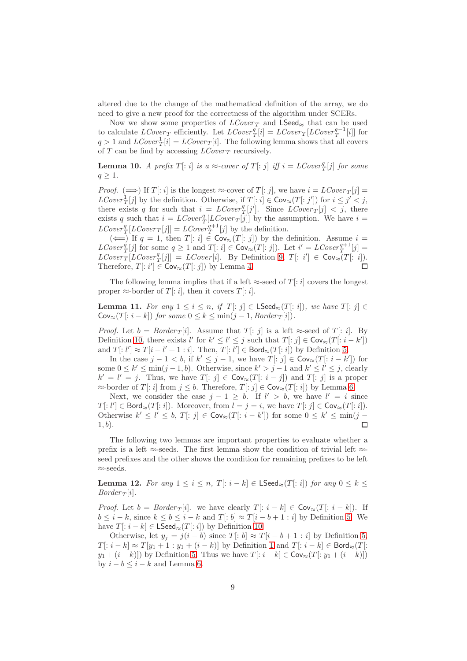altered due to the change of the mathematical definition of the array, we do need to give a new proof for the correctness of the algorithm under SCERs.

Now we show some properties of  $LCover_T$  and  $LSeed_{\approx}$  that can be used to calculate  $LCover_T$  efficiently. Let  $LCover_T^q[i] = LCover_T[LCover_T^{q-1}[i]]$  for  $q > 1$  and  $LCover_T[i] = LCover_T[i]$ . The following lemma shows that all covers of  $T$  can be find by accessing  $LCover_T$  recursively.

**Lemma 10.** A prefix  $T[:i]$  is a  $\approx$ -cover of  $T[:j]$  iff  $i = LCover^q_T[j]$  for some  $q \geq 1$ .

*Proof.*  $(\implies)$  If  $T[:i]$  is the longest  $\approx$ -cover of  $T[:j]$ , we have  $i = LCover_T[j] =$  $LCover_T^1[j]$  by the definition. Otherwise, if  $T[:i] \in \text{Cov}_{\approx}(T[:j'])$  for  $i \leq j' < j$ , there exists q for such that  $i = LCover_T^q[j']$ . Since  $LCover_T[j] < j$ , there exists q such that  $i = LCover_T[ICover_T[j]]$  by the assumption. We have  $i =$  $LCover_T^{q}[LCover_T[j]] = LCover_T^{q+1}[j]$  by the definition.

 $(\Leftarrow)$  If  $q = 1$ , then  $T$ :  $i \in \text{Cov}_{\approx}(T | : j]$  by the definition. Assume  $i =$  $LCover_T^q[j]$  for some  $q \geq 1$  and  $T[:i] \in \text{Cov}_{\approx}(T[:j])$ . Let  $i' = LCover_T^{q+1}[j] =$  $LCover_T[LCover_T^q[j]] = LCover[i]$ . By Definition [9,](#page-6-1)  $T[:i'] \in \text{Cov}_{\approx}(T[:i])$ . Therefore,  $T[:i'] \in \text{Cov}_{\approx}(T[:j])$  by Lemma [4.](#page-4-2) П

<span id="page-8-0"></span>The following lemma implies that if a left  $\approx$ -seed of T[: i] covers the longest proper  $\approx$ -border of T[: *i*], then it covers T[: *i*].

**Lemma 11.** For any  $1 \leq i \leq n$ , if  $T[:j] \in \textsf{LSeed}_{\approx}(T[:i])$ , we have  $T[:j] \in$  $\mathsf{Cov}_{\approx}(T[:i-k])$  for some  $0 \leq k \leq \min(j-1, Border_T[i]).$ 

*Proof.* Let  $b = Border_T[i]$ . Assume that  $T[:j]$  is a left  $\approx$ -seed of  $T[:i]$ . By Definition [10,](#page-7-1) there exists  $l'$  for  $k' \leq l' \leq j$  such that  $T[:j] \in \text{Cov}_{\approx}(T[:i-k'])$ and  $T[: l'] \approx T[i - l' + 1 : i]$ . Then,  $T[: l'] \in \mathsf{Bord}_{\approx}(T[: i])$  by Definition [5.](#page-2-0)

In the case  $j-1 < b$ , if  $k' \leq j-1$ , we have  $T[:j] \in Cov_{\approx}(T[:i-k'])$  for some  $0 \le k' \le \min(j-1, b)$ . Otherwise, since  $k' > j - 1$  and  $k' \le l' \le j$ , clearly  $k' = l' = j$ . Thus, we have  $T[:j] \in \text{Cov}_{\approx}(T[:i-j])$  and  $T[:j]$  is a proper  $\approx$ -border of T[: i] from  $j \leq b$ . Therefore, T[: j]  $\in \text{Cov}_{\approx}(T[:i])$  by Lemma [6.](#page-5-0)

Next, we consider the case  $j - 1 \geq b$ . If  $l' > b$ , we have  $l' = i$  since  $T[:l'] \in \mathsf{Bord}_{\approx}(T[:i])$ . Moreover, from  $\overline{l} = j = i$ , we have  $T[:j] \in \mathsf{Cov}_{\approx}(T[:i])$ . Otherwise  $k' \leq l' \leq b$ ,  $T[:j] \in \text{Cov}_{\approx}(T[:i-k'])$  for some  $0 \leq k' \leq \min(j - 1)$  $1, b$ ).  $\Box$ 

The following two lemmas are important properties to evaluate whether a prefix is a left  $\approx$ -seeds. The first lemma show the condition of trivial left  $\approx$ seed prefixes and the other shows the condition for remaining prefixes to be left ≈-seeds.

<span id="page-8-1"></span>Lemma 12. For any  $1 \leq i \leq n$ ,  $T[:i-k] \in \textsf{LSeed}_{\approx}(T[:i])$  for any  $0 \leq k \leq$  $Border_T[i]$ .

*Proof.* Let  $b = Border_T[i]$ . we have clearly  $T[: i - k] \in Cov_{\infty}(T[: i - k])$ . If  $b \leq i - k$ , since  $k \leq b \leq i - k$  and  $T[:b] \approx T[i - b + 1 : i]$  by Definition [5.](#page-2-0) We have  $T[: i - k] \in \mathsf{LSeed}_{\approx}(T[: i])$  by Definition [10.](#page-7-1)

Otherwise, let  $y_j = j(i - b)$  since  $T[: b] \approx T[i - b + 1 : i]$  by Definition [5,](#page-2-0)  $T[: i - k] \approx T[y_1 + 1 : y_1 + (i - k)]$  $T[: i - k] \approx T[y_1 + 1 : y_1 + (i - k)]$  $T[: i - k] \approx T[y_1 + 1 : y_1 + (i - k)]$  by Definition 1 and  $T[: i - k] \in \text{Bord}_{\approx}(T]$ :  $y_1 + (i - k)$ ) by Definition [5.](#page-2-0) Thus we have  $T[: i - k] \in \text{Cov}_{\approx}(T[: y_1 + (i - k)])$ by  $i - b \leq i - k$  and Lemma [6.](#page-5-0)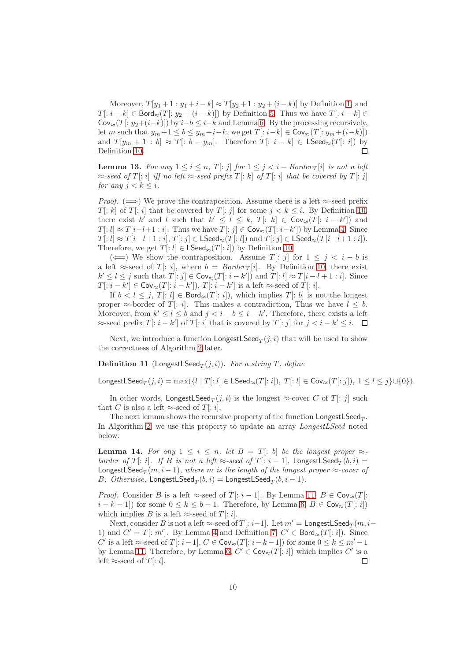Moreover,  $T[y_1 + 1 : y_1 + i - k] \approx T[y_2 + 1 : y_2 + (i - k)]$  by Definition [1,](#page-1-1) and  $T[: i - k] \in \mathsf{Bord}_{\approx}(T[: y_2 + (i - k)])$  by Definition [5.](#page-2-0) Thus we have  $T[: i - k] \in$  $Cov_{\approx}(T[:y_2+(i-k)])$  by  $i-b \leq i-k$  and Lemma [6.](#page-5-0) By the processing recursively, let m such that  $y_m + 1 \le b \le y_m + i - k$ , we get  $T[: i - k] \in \text{Cov}_{\approx}(T[: y_m + (i - k)])$ and  $T[y_m + 1 : b] \approx T[: b - y_m]$ . Therefore  $T[: i - k] \in \mathsf{LSeed}_{\approx}(T[: i])$  by Definition [10.](#page-7-1)  $\Box$ 

<span id="page-9-2"></span>**Lemma 13.** For any  $1 \leq i \leq n$ ,  $T[:j]$  for  $1 \leq j \leq i - Border_T[i]$  is not a left  $\approx$ -seed of T[: i] iff no left  $\approx$ -seed prefix T[: k] of T[: i] that be covered by T[: j] for any  $i < k \leq i$ .

*Proof.* ( $\implies$ ) We prove the contraposition. Assume there is a left  $\approx$ -seed prefix T[: k] of T[: i] that be covered by T[: j] for some  $j < k \leq i$ . By Definition [10,](#page-7-1) there exist k' and l such that  $k' \leq l \leq k$ ,  $T[:k] \in \text{Cov}_{\approx}(T[:i-k'])$  and  $T[:l] \approx T[i-l+1:i]$ . Thus we have  $T[:j] \in \mathsf{Cov}_{\approx}(T[:i-k'])$  by Lemma [4.](#page-4-2) Since  $T[: l] \approx T[i-l+1 : i], T[: j] \in \mathsf{LSeed}_{\approx}(T[: l]) \text{ and } T[: j] \in \mathsf{LSeed}_{\approx}(T[i-l+1 : i]).$ Therefore, we get  $T[:l] \in \mathsf{LSeed}_{\approx}(T[:i])$  by Definition [10.](#page-7-1)

(←) We show the contraposition. Assume  $T$ : j for  $1 \leq j \leq i - b$  is a left ≈-seed of T[: i], where  $b = Border_T[i]$ . By Definition [10,](#page-7-1) there exist  $k' \leq l \leq j$  such that  $T[:j] \in \text{Cov}_{\approx}(T[:i-k'])$  and  $T[:l] \approx T[i-l+1:i]$ . Since  $T[:i-k'] \in \text{Cov}_{\approx}(T[:i-k'])$ ,  $T[:i-k']$  is a left  $\approx$ -seed of  $T[:i]$ .

If  $b < l \le j$ ,  $T[:l] \in \text{Bord}_{\approx}(T[:i])$ , which implies  $T[:b]$  is not the longest proper  $\approx$ -border of T[: i]. This makes a contradiction, Thus we have  $l \leq b$ . Moreover, from  $k' \leq l \leq b$  and  $j < i - b \leq i - k'$ , Therefore, there exists a left  $\approx$ -seed prefix  $T[: i - k']$  of  $T[: i]$  that is covered by  $T[: j]$  for  $j < i - k' \leq i$ .

<span id="page-9-1"></span>Next, we introduce a function  $\mathsf{LongestLSeed}_T(j,i)$  that will be used to show the correctness of Algorithm [2](#page-7-0) later.

**Definition 11** (LongestLSeed $_T(j, i)$ ). For a string T, define

LongestLSeed $_T(j, i) = \max(\{l \mid T[:l] \in \mathsf{LSeed}_{\approx}(T[:i]), T[:l] \in \mathsf{Cov}_{\approx}(T[:j]), 1 \leq l \leq j\} \cup \{0\}).$ 

In other words,  $\mathsf{LongestLSeed}_T(j,i)$  is the longest  $\approx$ -cover  $C$  of  $T[:j]$  such that C is also a left  $\approx$ -seed of T[: *i*].

The next lemma shows the recursive property of the function  ${\sf LongestLSeed}_T.$ In Algorithm [2,](#page-7-0) we use this property to update an array LongestLSeed noted below.

<span id="page-9-0"></span>**Lemma 14.** For any  $1 \leq i \leq n$ , let  $B = T$ : b) be the longest proper  $\approx$ border of T[: i]. If B is not a left  $\approx$ -seed of T[: i - 1], LongestLSeed $_T(b, i)$  = LongestLSeed $_T(m, i - 1)$ , where  $m$  is the length of the longest proper  $\approx$ -cover of *B.* Otherwise,  $\mathsf{LongestLSeed}_{T}(b,i) = \mathsf{LongestLSeed}_{T}(b,i-1).$ 

*Proof.* Consider B is a left ≈-seed of T[: i - 1]. By Lemma [11,](#page-8-0)  $B \in \text{Cov}_{\approx}(T)$ :  $i - k - 1$ ) for some  $0 \le k \le b - 1$ . Therefore, by Lemma [6,](#page-5-0)  $B \in \text{Cov}_{\approx}(T[:i])$ which implies B is a left  $\approx$ -seed of T[: *i*].

Next, consider B is not a left  $\approx$ -seed of T[:  $i-1$ ]. Let  $m' =$  LongestLSeed $_T(m, i-1)$ 1) and  $C' = T[:m']$ . By Lemma [4](#page-4-2) and Definition [7,](#page-3-3)  $C' \in \text{Bord}_{\approx}(T[:i])$ . Since  $C'$  is a left ≈-seed of T[:  $i-1$ ],  $C \in \text{Cov}_{\approx}(T[:i-k-1])$  for some  $0 \leq k \leq m'-1$ by Lemma [11.](#page-8-0) Therefore, by Lemma [6,](#page-5-0)  $C' \in \text{Cov}_{\approx}(T[i: i])$  which implies  $C'$  is a left  $\approx$ -seed of T[: *i*].  $\Box$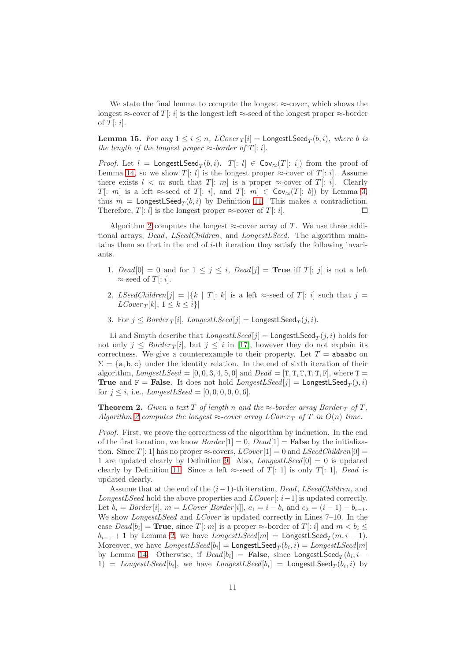We state the final lemma to compute the longest  $\approx$ -cover, which shows the longest  $\approx$ -cover of T[: i] is the longest left  $\approx$ -seed of the longest proper  $\approx$ -border of  $T[:i]$ .

<span id="page-10-0"></span>**Lemma 15.** For any  $1 \leq i \leq n$ ,  $LCover_T[i] =$  LongestLSeed $_T(b, i)$ , where b is the length of the longest proper  $\approx$ -border of T[: i].

*Proof.* Let  $l =$  LongestLSeed $_T(b, i)$ .  $T[: l] \in Cov_{\approx}(T[: i])$  from the proof of Lemma [14,](#page-9-0) so we show  $T[:l]$  is the longest proper  $\approx$ -cover of  $T[:i]$ . Assume there exists  $l < m$  such that  $T$ : m is a proper  $\approx$ -cover of  $T$ : i. Clearly T: m is a left  $\approx$ -seed of T: i, and T: m  $\in \text{Cov}_{\approx}(T : b)$  by Lemma [3,](#page-3-4) thus  $m =$  Longest LSeed $_T(b, i)$  by Definition [11.](#page-9-1) This makes a contradiction. Therefore,  $T[:l]$  is the longest proper  $\approx$ -cover of  $T[:i]$ .  $\Box$ 

Algorithm [2](#page-7-0) computes the longest  $\approx$ -cover array of T. We use three additional arrays, Dead, LSeedChildren, and LongestLSeed. The algorithm maintains them so that in the end of  $i$ -th iteration they satisfy the following invariants.

- 1. Dead[0] = 0 and for  $1 \leq j \leq i$ , Dead[j] = **True** iff  $T[:j]$  is not a left  $\approx$ -seed of T[: *i*].
- 2. LSeedChildren[j] =  $|\{k \mid T | : k\}$  is a left ≈-seed of T[: i] such that  $j =$  $LCover_T[k], 1 \leq k \leq i\}$
- 3. For  $j \leq Border_T[i]$ ,  $LongestLSeed[j] = \text{LongestLSeed}_T(j,i)$ .

Li and Smyth describe that  $LongestLSeed[j] =$  LongestLSeed $_T(j,i)$  holds for not only  $j \leq Border_T[i]$ , but  $j \leq i$  in [\[17\]](#page-12-6), however they do not explain its correctness. We give a counterexample to their property. Let  $T =$  abaabc on  $\Sigma = \{a, b, c\}$  under the identity relation. In the end of sixth iteration of their algorithm, LongestLSeed =  $[0, 0, 3, 4, 5, 0]$  and Dead =  $[T, T, T, T, T, F]$ , where  $T =$ **True** and  $F =$  False. It does not hold  $LongestLSeed[j] =$  LongestLSeed $_T(j, i)$ for  $i \leq i$ , i.e., LongestLSeed = [0, 0, 0, 0, 0, 6].

**Theorem 2.** Given a text T of length n and the  $\approx$ -border array Border  $_T$  of T, Algorithm [2](#page-7-0) computes the longest  $\approx$ -cover array LCover T of T in  $O(n)$  time.

Proof. First, we prove the correctness of the algorithm by induction. In the end of the first iteration, we know  $Border[1] = 0$ ,  $Dead[1] = \textbf{False}$  by the initialization. Since T[: 1] has no proper  $\approx$ -covers,  $LCover[1] = 0$  and  $LSeedChildren[0] =$ 1 are updated clearly by Definition [9.](#page-6-1) Also,  $Longest LSeed[0] = 0$  is updated clearly by Definition [11.](#page-9-1) Since a left  $\approx$ -seed of T[: 1] is only T[: 1], Dead is updated clearly.

Assume that at the end of the  $(i-1)$ -th iteration, Dead, LSeedChildren, and LongestLSeed hold the above properties and  $LCover[: i-1]$  is updated correctly. Let  $b_i = Border[i], m = LCover[Border[i]], c_1 = i - b_i$  and  $c_2 = (i - 1) - b_{i-1}$ . We show *LongestLSeed* and *LCover* is updated correctly in Lines 7–10. In the case  $Dead[b_i] = \text{True}$ , since  $T[:m]$  is a proper  $\approx$ -border of  $T[:i]$  and  $m < b_i \leq$  $b_{i-1} + 1$  by Lemma [2,](#page-2-3) we have  $LongestLSeed[m] =$  LongestLSeed $_T(m, i - 1)$ . Moreover, we have  $LongestLSeed[b_i] = \mathsf{LongestLSeed}_T(b_i, i) = LongestLSeed[m]$ by Lemma [14.](#page-9-0) Otherwise, if  $Dead[b_i] =$  False, since LongestLSeed $_T(b_i, i (1)$  =  $LongestLSeed[b_i]$ , we have  $LongestLSeed[b_i]$  =  $LongestLSeed_T(b_i, i)$  by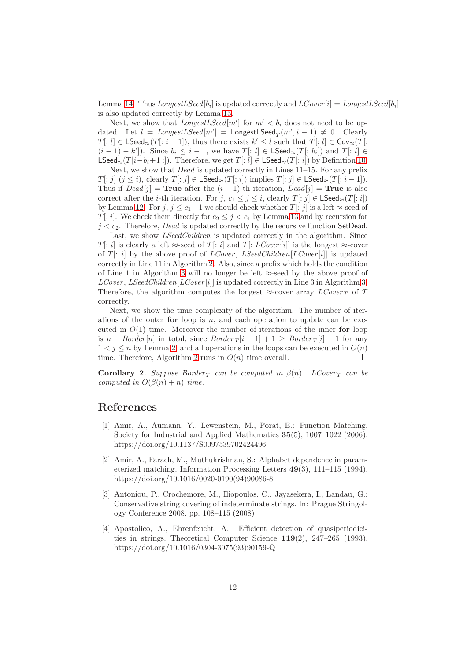Lemma [14.](#page-9-0) Thus  $LongestLSeed[b_i]$  is updated correctly and  $LCover[i] = LongestLSeed[b_i]$ is also updated correctly by Lemma [15.](#page-10-0)

Next, we show that  $LongestLSeed[m']$  for  $m' < b_i$  does not need to be updated. Let  $l = LongestLSeed[m'] = LongestLSeed_T(m', i - 1) \neq 0$ . Clearly  $T[:l] \in \textsf{LSeed}_{\approx}(T[:i-1]),$  thus there exists  $k' \leq l$  such that  $T[:l] \in \textsf{Cov}_{\approx}(T[:l])$  $(i-1) - k'$ ]). Since  $b_i \leq i-1$ , we have  $T[:l] \in \mathsf{LSeed}_{\approx}(T[:b_i])$  and  $T[:l] \in$ LSeed≈(T[i−b<sub>i</sub>+1 :]). Therefore, we get T[: l] ∈ LSeed≈(T[: i]) by Definition [10.](#page-7-1)

Next, we show that *Dead* is updated correctly in Lines 11–15. For any prefix  $T[:j]$   $(j \leq i)$ , clearly  $T[:j] \in \mathsf{LSeed}_{\approx}(T[:i])$  implies  $T[:j] \in \mathsf{LSeed}_{\approx}(T[:i-1])$ . Thus if  $Dead[j]$  = True after the  $(i - 1)$ -th iteration,  $Dead[j]$  = True is also correct after the *i*-th iteration. For  $j, c_1 \leq j \leq i$ , clearly  $T[:j] \in \mathsf{LSeed}_{\approx}(T[:i])$ by Lemma [12.](#page-8-1) For  $j, j \leq c_1-1$  we should check whether  $T[:j]$  is a left  $\approx$ -seed of  $T[:i]$ . We check them directly for  $c_2 \leq j < c_1$  by Lemma [13](#page-9-2) and by recursion for  $j < c_2$ . Therefore, *Dead* is updated correctly by the recursive function SetDead.

Last, we show *LSeedChildren* is updated correctly in the algorithm. Since T[: i] is clearly a left  $\approx$ -seed of T[: i] and T[: LCover [i]] is the longest  $\approx$ -cover of  $T[i]$  by the above proof of *LCover*, *LSeedChildren* [*LCover* [*i*]] is updated correctly in Line 11 in Algorithm [2.](#page-7-0) Also, since a prefix which holds the condition of Line 1 in Algorithm [3](#page-7-2) will no longer be left  $\approx$ -seed by the above proof of  $LCover, LSeedChildren[LCover[i]]$  is updated correctly in Line 3 in Algorithm [3.](#page-7-2) Therefore, the algorithm computes the longest  $\approx$ -cover array  $LCover_T$  of T correctly.

Next, we show the time complexity of the algorithm. The number of iterations of the outer for loop is  $n$ , and each operation to update can be executed in  $O(1)$  time. Moreover the number of iterations of the inner for loop is  $n - Border[n]$  in total, since  $Border_T[i-1] + 1 \geq Border_T[i] + 1$  for any  $1 < i \leq n$  by Lemma [2,](#page-2-3) and all operations in the loops can be executed in  $O(n)$ time. Therefore, Algorithm [2](#page-7-0) runs in  $O(n)$  time overall.  $\Box$ 

**Corollary 2.** Suppose Border  $T$  can be computed in  $\beta(n)$ . LCover  $T$  can be computed in  $O(\beta(n) + n)$  time.

### <span id="page-11-3"></span>References

- [1] Amir, A., Aumann, Y., Lewenstein, M., Porat, E.: Function Matching. Society for Industrial and Applied Mathematics 35(5), 1007–1022 (2006). https://doi.org/10.1137/S0097539702424496
- <span id="page-11-1"></span>[2] Amir, A., Farach, M., Muthukrishnan, S.: Alphabet dependence in parameterized matching. Information Processing Letters 49(3), 111–115 (1994). https://doi.org/10.1016/0020-0190(94)90086-8
- <span id="page-11-2"></span>[3] Antoniou, P., Crochemore, M., Iliopoulos, C., Jayasekera, I., Landau, G.: Conservative string covering of indeterminate strings. In: Prague Stringology Conference 2008. pp. 108–115 (2008)
- <span id="page-11-0"></span>[4] Apostolico, A., Ehrenfeucht, A.: Efficient detection of quasiperiodicities in strings. Theoretical Computer Science 119(2), 247–265 (1993). https://doi.org/10.1016/0304-3975(93)90159-Q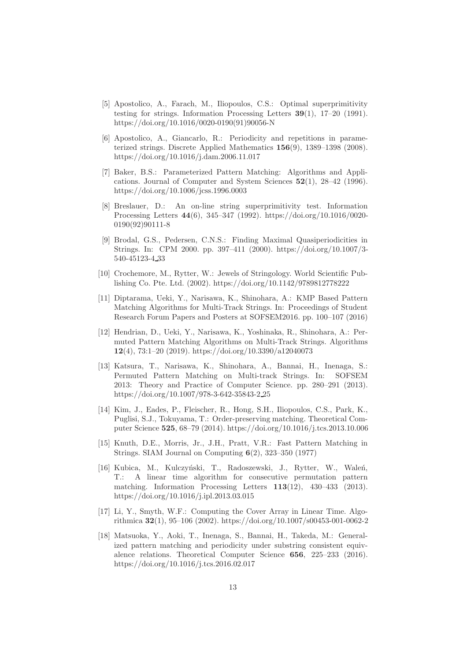- <span id="page-12-3"></span>[5] Apostolico, A., Farach, M., Iliopoulos, C.S.: Optimal superprimitivity testing for strings. Information Processing Letters 39(1), 17–20 (1991). https://doi.org/10.1016/0020-0190(91)90056-N
- <span id="page-12-1"></span>[6] Apostolico, A., Giancarlo, R.: Periodicity and repetitions in parameterized strings. Discrete Applied Mathematics 156(9), 1389–1398 (2008). https://doi.org/10.1016/j.dam.2006.11.017
- <span id="page-12-12"></span>[7] Baker, B.S.: Parameterized Pattern Matching: Algorithms and Applications. Journal of Computer and System Sciences 52(1), 28–42 (1996). https://doi.org/10.1006/jcss.1996.0003
- <span id="page-12-4"></span>[8] Breslauer, D.: An on-line string superprimitivity test. Information Processing Letters 44(6), 345–347 (1992). https://doi.org/10.1016/0020- 0190(92)90111-8
- <span id="page-12-2"></span>[9] Brodal, G.S., Pedersen, C.N.S.: Finding Maximal Quasiperiodicities in Strings. In: CPM 2000. pp. 397–411 (2000). https://doi.org/10.1007/3- 540-45123-4 33
- <span id="page-12-0"></span>[10] Crochemore, M., Rytter, W.: Jewels of Stringology. World Scientific Publishing Co. Pte. Ltd. (2002). https://doi.org/10.1142/9789812778222
- <span id="page-12-9"></span>[11] Diptarama, Ueki, Y., Narisawa, K., Shinohara, A.: KMP Based Pattern Matching Algorithms for Multi-Track Strings. In: Proceedings of Student Research Forum Papers and Posters at SOFSEM2016. pp. 100–107 (2016)
- <span id="page-12-10"></span>[12] Hendrian, D., Ueki, Y., Narisawa, K., Yoshinaka, R., Shinohara, A.: Permuted Pattern Matching Algorithms on Multi-Track Strings. Algorithms 12(4), 73:1–20 (2019). https://doi.org/10.3390/a12040073
- <span id="page-12-13"></span>[13] Katsura, T., Narisawa, K., Shinohara, A., Bannai, H., Inenaga, S.: Permuted Pattern Matching on Multi-track Strings. In: SOFSEM 2013: Theory and Practice of Computer Science. pp. 280–291 (2013). https://doi.org/10.1007/978-3-642-35843-2 25
- <span id="page-12-7"></span>[14] Kim, J., Eades, P., Fleischer, R., Hong, S.H., Iliopoulos, C.S., Park, K., Puglisi, S.J., Tokuyama, T.: Order-preserving matching. Theoretical Computer Science 525, 68–79 (2014). https://doi.org/10.1016/j.tcs.2013.10.006
- <span id="page-12-5"></span>[15] Knuth, D.E., Morris, Jr., J.H., Pratt, V.R.: Fast Pattern Matching in Strings. SIAM Journal on Computing 6(2), 323–350 (1977)
- <span id="page-12-8"></span>[16] Kubica, M., Kulczyński, T., Radoszewski, J., Rytter, W., Waleń, T.: A linear time algorithm for consecutive permutation pattern matching. Information Processing Letters 113(12), 430–433 (2013). https://doi.org/10.1016/j.ipl.2013.03.015
- <span id="page-12-6"></span>[17] Li, Y., Smyth, W.F.: Computing the Cover Array in Linear Time. Algorithmica 32(1), 95–106 (2002). https://doi.org/10.1007/s00453-001-0062-2
- <span id="page-12-11"></span>[18] Matsuoka, Y., Aoki, T., Inenaga, S., Bannai, H., Takeda, M.: Generalized pattern matching and periodicity under substring consistent equivalence relations. Theoretical Computer Science 656, 225–233 (2016). https://doi.org/10.1016/j.tcs.2016.02.017